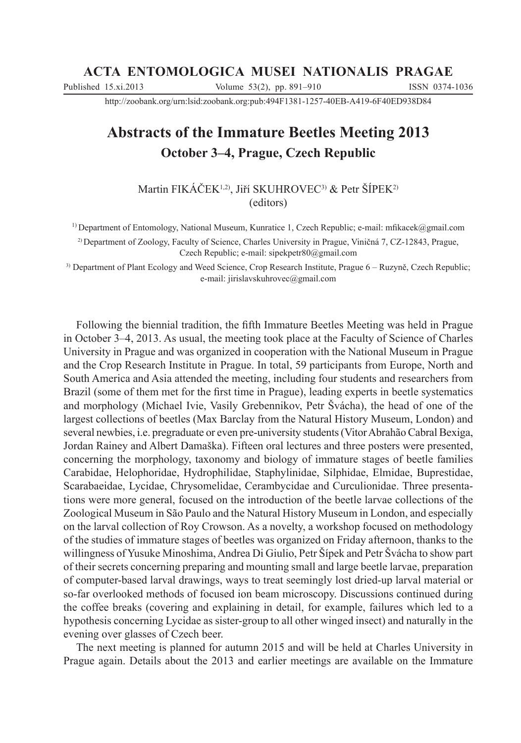#### **ACTA ENTOMOLOGICA MUSEI NATIONALIS PRAGAE**

Published 15.xi.2013 Volume 53(2), pp. 891-910 ISSN 0374-1036

http://zoobank.org/urn:lsid:zoobank.org:pub:494F1381-1257-40EB-A419-6F40ED938D84

# **Abstracts of the Immature Beetles Meeting 2013 October 3–4, Prague, Czech Republic**

Martin FIKÁČEK<sup>1,2)</sup>, Jiří SKUHROVEC<sup>3)</sup> & Petr ŠÍPEK<sup>2)</sup> (editors)

<sup>1)</sup> Department of Entomology, National Museum, Kunratice 1, Czech Republic; e-mail: mfikacek@gmail.com

<sup>2)</sup> Department of Zoology, Faculty of Science, Charles University in Prague, Viničná 7, CZ-12843, Prague, Czech Republic; e-mail: sipekpetr80@gmail.com

<sup>3)</sup> Department of Plant Ecology and Weed Science, Crop Research Institute, Prague 6 – Ruzyně, Czech Republic; e-mail: jirislavskuhrovec@gmail.com

Following the biennial tradition, the fth Immature Beetles Meeting was held in Prague in October  $3-4$ , 2013. As usual, the meeting took place at the Faculty of Science of Charles University in Prague and was organized in cooperation with the National Museum in Prague and the Crop Research Institute in Prague. In total, 59 participants from Europe, North and South America and Asia attended the meeting, including four students and researchers from Brazil (some of them met for the first time in Prague), leading experts in beetle systematics and morphology (Michael Ivie, Vasily Grebennikov, Petr \vácha), the head of one of the largest collections of beetles (Max Barclay from the Natural History Museum, London) and several newbies, i.e. pregraduate or even pre-university students (Vitor Abrahão Cabral Bexiga, Jordan Rainey and Albert Damaška). Fifteen oral lectures and three posters were presented, concerning the morphology, taxonomy and biology of immature stages of beetle families Carabidae, Helophoridae, Hydrophilidae, Staphylinidae, Silphidae, Elmidae, Buprestidae, Scarabaeidae, Lycidae, Chrysomelidae, Cerambycidae and Curculionidae. Three presentations were more general, focused on the introduction of the beetle larvae collections of the Zoological Museum in São Paulo and the Natural History Museum in London, and especially on the larval collection of Roy Crowson. As a novelty, a workshop focused on methodology of the studies of immature stages of beetles was organized on Friday afternoon, thanks to the willingness of Yusuke Minoshima, Andrea Di Giulio, Petr Šípek and Petr Švácha to show part of their secrets concerning preparing and mounting small and large beetle larvae, preparation of computer-based larval drawings, ways to treat seemingly lost dried-up larval material or so-far overlooked methods of focused ion beam microscopy. Discussions continued during the coffee breaks (covering and explaining in detail, for example, failures which led to a hypothesis concerning Lycidae as sister-group to all other winged insect) and naturally in the evening over glasses of Czech beer.

The next meeting is planned for autumn 2015 and will be held at Charles University in Prague again. Details about the 2013 and earlier meetings are available on the Immature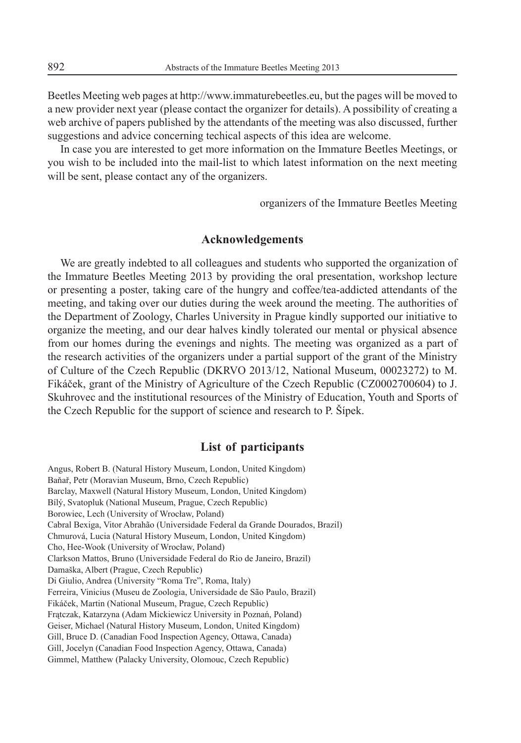Beetles Meeting web pages at http://www.immaturebeetles.eu, but the pages will be moved to a new provider next year (please contact the organizer for details). A possibility of creating a web archive of papers published by the attendants of the meeting was also discussed, further suggestions and advice concerning techical aspects of this idea are welcome.

In case you are interested to get more information on the Immature Beetles Meetings, or you wish to be included into the mail-list to which latest information on the next meeting will be sent, please contact any of the organizers.

organizers of the Immature Beetles Meeting

#### **Acknowledgements**

We are greatly indebted to all colleagues and students who supported the organization of the Immature Beetles Meeting 2013 by providing the oral presentation, workshop lecture or presenting a poster, taking care of the hungry and coffee/tea-addicted attendants of the meeting, and taking over our duties during the week around the meeting. The authorities of the Department of Zoology, Charles University in Prague kindly supported our initiative to organize the meeting, and our dear halves kindly tolerated our mental or physical absence from our homes during the evenings and nights. The meeting was organized as a part of the research activities of the organizers under a partial support of the grant of the Ministry of Culture of the Czech Republic (DKRVO 2013/12, National Museum, 00023272) to M. Fikáček, grant of the Ministry of Agriculture of the Czech Republic (CZ0002700604) to J. Skuhrovec and the institutional resources of the Ministry of Education, Youth and Sports of the Czech Republic for the support of science and research to P. Sipek.

#### **List of participants**

Angus, Robert B. (Natural History Museum, London, United Kingdom) Baňař, Petr (Moravian Museum, Brno, Czech Republic) Barclay, Maxwell (Natural History Museum, London, United Kingdom) Bílý, Svatopluk (National Museum, Prague, Czech Republic) Borowiec, Lech (University of Wrocáaw, Poland) Cabral Bexiga, Vitor Abrahão (Universidade Federal da Grande Dourados, Brazil) Chmurová, Lucia (Natural History Museum, London, United Kingdom) Cho, Hee-Wook (University of Wrocáaw, Poland) Clarkson Mattos, Bruno (Universidade Federal do Rio de Janeiro, Brazil) Damaška, Albert (Prague, Czech Republic) Di Giulio, Andrea (University "Roma Tre", Roma, Italy) Ferreira, Vinicius (Museu de Zoologia, Universidade de São Paulo, Brazil) Fikáček, Martin (National Museum, Prague, Czech Republic) Frątczak, Katarzyna (Adam Mickiewicz University in Poznań, Poland) Geiser, Michael (Natural History Museum, London, United Kingdom) Gill, Bruce D. (Canadian Food Inspection Agency, Ottawa, Canada) Gill, Jocelyn (Canadian Food Inspection Agency, Ottawa, Canada) Gimmel, Matthew (Palacky University, Olomouc, Czech Republic)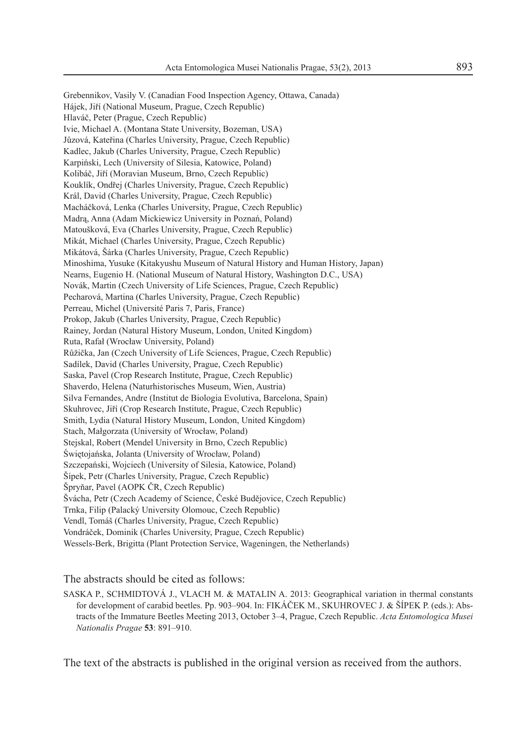Grebennikov, Vasily V. (Canadian Food Inspection Agency, Ottawa, Canada) Hájek, Jiří (National Museum, Prague, Czech Republic) Hlaváč, Peter (Prague, Czech Republic) Ivie, Michael A. (Montana State University, Bozeman, USA) Jůzová, Kateřina (Charles University, Prague, Czech Republic) Kadlec, Jakub (Charles University, Prague, Czech Republic) Karpiński, Lech (University of Silesia, Katowice, Poland) Kolibáč, Jiří (Moravian Museum, Brno, Czech Republic) Kouklík, Ondřej (Charles University, Prague, Czech Republic) Král, David (Charles University, Prague, Czech Republic) Macháčková, Lenka (Charles University, Prague, Czech Republic) Madrą, Anna (Adam Mickiewicz University in Poznań, Poland) Matoušková, Eva (Charles University, Prague, Czech Republic) Mikát, Michael (Charles University, Prague, Czech Republic) Mikátová, \árka (Charles University, Prague, Czech Republic) Minoshima, Yusuke (Kitakyushu Museum of Natural History and Human History, Japan) Nearns, Eugenio H. (National Museum of Natural History, Washington D.C., USA) Novák, Martin (Czech University of Life Sciences, Prague, Czech Republic) Pecharová, Martina (Charles University, Prague, Czech Republic) Perreau, Michel (Université Paris 7, Paris, France) Prokop, Jakub (Charles University, Prague, Czech Republic) Rainey, Jordan (Natural History Museum, London, United Kingdom) Ruta, Rafaá (Wrocáaw University, Poland) Růžička, Jan (Czech University of Life Sciences, Prague, Czech Republic) Sadílek, David (Charles University, Prague, Czech Republic) Saska, Pavel (Crop Research Institute, Prague, Czech Republic) Shaverdo, Helena (Naturhistorisches Museum, Wien, Austria) Silva Fernandes, Andre (Institut de Biologia Evolutiva, Barcelona, Spain) Skuhrovec, Jiří (Crop Research Institute, Prague, Czech Republic) Smith, Lydia (Natural History Museum, London, United Kingdom) Stach, Małgorzata (University of Wrocław, Poland) Stejskal, Robert (Mendel University in Brno, Czech Republic) Świętojańska, Jolanta (University of Wrocław, Poland) Szczepański, Wojciech (University of Silesia, Katowice, Poland) \ípek, Petr (Charles University, Prague, Czech Republic) Špryňar, Pavel (AOPK ČR, Czech Republic) Švácha, Petr (Czech Academy of Science, České Budějovice, Czech Republic) Trnka, Filip (Palacký University Olomouc, Czech Republic) Vendl, Tomáš (Charles University, Prague, Czech Republic) Vondráček, Dominik (Charles University, Prague, Czech Republic) Wessels-Berk, Brigitta (Plant Protection Service, Wageningen, the Netherlands)

#### The abstracts should be cited as follows:

SASKA P., SCHMIDTOVÁ J., VLACH M. & MATALIN A. 2013: Geographical variation in thermal constants for development of carabid beetles. Pp. 903–904. In: FIKÁČEK M., SKUHROVEC J. & ŠÍPEK P. (eds.): Abstracts of the Immature Beetles Meeting 2013, October 3–4, Prague, Czech Republic. *Acta Entomologica Musei Nationalis Pragae* **53**: 891-910.

The text of the abstracts is published in the original version as received from the authors.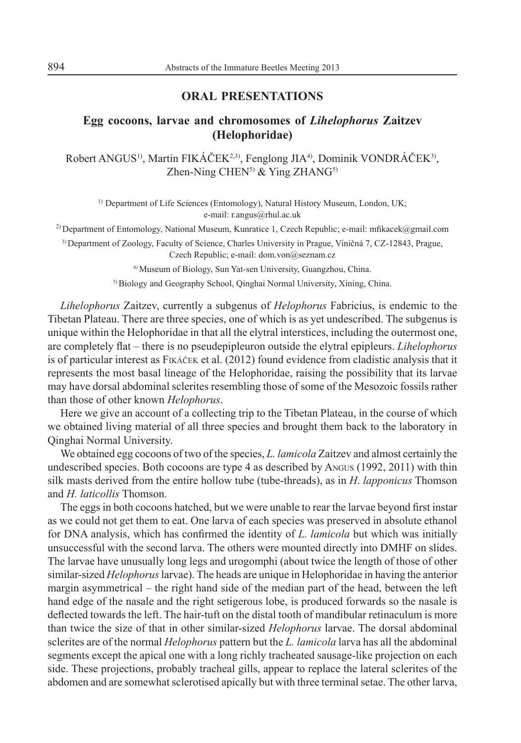### **ORAL PRESENTATIONS**

### **Egg cocoons, larvae and chromosomes of** *Lihelophorus* **Zaitzev (Helophoridae)**

Robert ANGUS<sup>1)</sup>, Martin FIKÁČEK<sup>2,3)</sup>, Fenglong JIA<sup>4)</sup>, Dominik VONDRÁČEK<sup>3)</sup>, Zhen-Ning CHEN<sup>5)</sup> & Ying ZHAN $G$ <sup>5)</sup>

<sup>1)</sup> Department of Life Sciences (Entomology), Natural History Museum, London, UK; e-mail: r.angus@rhul.ac.uk

<sup>2)</sup> Department of Entomology, National Museum, Kunratice 1, Czech Republic; e-mail: mfikacek@gmail.com

3) Department of Zoology, Faculty of Science, Charles University in Prague, Viničná 7, CZ-12843, Prague, Czech Republic; e-mail: dom.von@seznam.cz

4) Museum of Biology, Sun Yat-sen University, Guangzhou, China.

5) Biology and Geography School, Qinghai Normal University, Xining, China.

*Lihelophorus* Zaitzev, currently a subgenus of *Helophorus* Fabricius, is endemic to the Tibetan Plateau. There are three species, one of which is as yet undescribed. The subgenus is unique within the Helophoridae in that all the elytral interstices, including the outermost one, are completely flat – there is no pseudepipleuron outside the elytral epipleurs. *Lihelophorus* is of particular interest as FIKÁČEK et al. (2012) found evidence from cladistic analysis that it represents the most basal lineage of the Helophoridae, raising the possibility that its larvae may have dorsal abdominal sclerites resembling those of some of the Mesozoic fossils rather than those of other known *Helophorus*.

Here we give an account of a collecting trip to the Tibetan Plateau, in the course of which we obtained living material of all three species and brought them back to the laboratory in Qinghai Normal University.

We obtained egg cocoons of two of the species, *L. lamicola* Zaitzev and almost certainly the undescribed species. Both cocoons are type 4 as described by ANGUS (1992, 2011) with thin silk masts derived from the entire hollow tube (tube-threads), as in *H*. *lapponicus* Thomson and *H. laticollis* Thomson.

The eggs in both cocoons hatched, but we were unable to rear the larvae beyond first instar as we could not get them to eat. One larva of each species was preserved in absolute ethanol for DNA analysis, which has confirmed the identity of *L. lamicola* but which was initially unsuccessful with the second larva. The others were mounted directly into DMHF on slides. The larvae have unusually long legs and urogomphi (about twice the length of those of other similar-sized *Helophorus* larvae). The heads are unique in Helophoridae in having the anterior margin asymmetrical  $-$  the right hand side of the median part of the head, between the left hand edge of the nasale and the right setigerous lobe, is produced forwards so the nasale is deflected towards the left. The hair-tuft on the distal tooth of mandibular retinaculum is more than twice the size of that in other similar-sized *Helophorus* larvae. The dorsal abdominal sclerites are of the normal *Helophorus* pattern but the *L. lamicola* larva has all the abdominal segments except the apical one with a long richly tracheated sausage-like projection on each side. These projections, probably tracheal gills, appear to replace the lateral sclerites of the abdomen and are somewhat sclerotised apically but with three terminal setae. The other larva,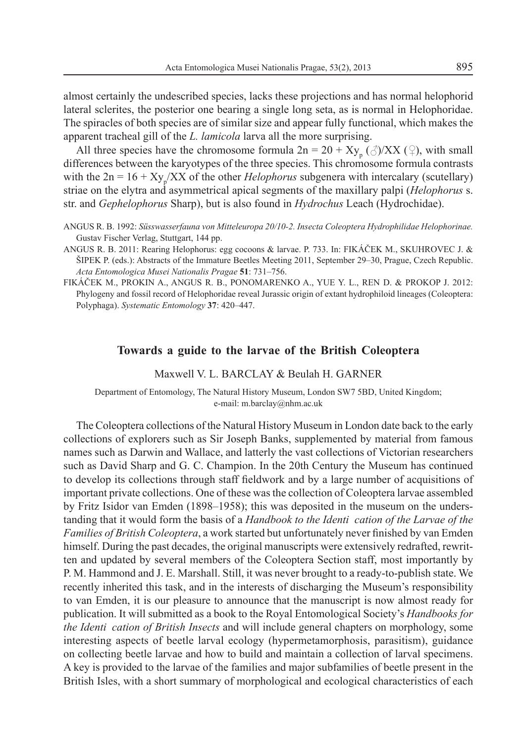almost certainly the undescribed species, lacks these projections and has normal helophorid lateral sclerites, the posterior one bearing a single long seta, as is normal in Helophoridae. The spiracles of both species are of similar size and appear fully functional, which makes the apparent tracheal gill of the *L. lamicola* larva all the more surprising.

All three species have the chromosome formula  $2n = 20 + Xy_p(\text{A})/XX(\text{A})$ , with small differences between the karyotypes of the three species. This chromosome formula contrasts with the  $2n = 16 + Xy_p/XX$  of the other *Helophorus* subgenera with intercalary (scutellary) striae on the elytra and asymmetrical apical segments of the maxillary palpi (*Helophorus* s. str. and *Gephelophorus* Sharp), but is also found in *Hydrochus* Leach (Hydrochidae).

- ANGUS R. B. 1992: *Süsswasserfauna von Mitteleuropa 20/10-2. Insecta Coleoptera Hydrophilidae Helophorinae.* Gustav Fischer Verlag, Stuttgart, 144 pp.
- ANGUS R. B. 2011: Rearing Helophorus: egg cocoons & larvae. P. 733. In: FIKÁČEK M., SKUHROVEC J. &  $\text{SPEK}$  P. (eds.): Abstracts of the Immature Beetles Meeting 2011, September 29–30, Prague, Czech Republic. Acta Entomologica Musei Nationalis Pragae 51: 731-756.
- FIKÁýEK M., PROKIN A., ANGUS R. B., PONOMARENKO A., YUE Y. L., REN D. & PROKOP J. 2012: Phylogeny and fossil record of Helophoridae reveal Jurassic origin of extant hydrophiloid lineages (Coleoptera: Polyphaga). *Systematic Entomology* 37: 420-447.

#### **Towards a guide to the larvae of the British Coleoptera**

Maxwell V. L. BARCLAY & Beulah H. GARNER

Department of Entomology, The Natural History Museum, London SW7 5BD, United Kingdom; e-mail: m.barclay@nhm.ac.uk

The Coleoptera collections of the Natural History Museum in London date back to the early collections of explorers such as Sir Joseph Banks, supplemented by material from famous names such as Darwin and Wallace, and latterly the vast collections of Victorian researchers such as David Sharp and G. C. Champion. In the 20th Century the Museum has continued to develop its collections through staff eldwork and by a large number of acquisitions of important private collections. One of these was the collection of Coleoptera larvae assembled by Fritz Isidor van Emden (1898–1958); this was deposited in the museum on the understanding that it would form the basis of a *Handbook to the Identi cation of the Larvae of the Families of British Coleoptera*, a work started but unfortunately never finished by van Emden himself. During the past decades, the original manuscripts were extensively redrafted, rewritten and updated by several members of the Coleoptera Section staff, most importantly by P. M. Hammond and J. E. Marshall. Still, it was never brought to a ready-to-publish state. We recently inherited this task, and in the interests of discharging the Museum's responsibility to van Emden, it is our pleasure to announce that the manuscript is now almost ready for publication. It will submitted as a book to the Royal Entomological Society's *Handbooks for the Identi cation of British Insects* and will include general chapters on morphology, some interesting aspects of beetle larval ecology (hypermetamorphosis, parasitism), guidance on collecting beetle larvae and how to build and maintain a collection of larval specimens. A key is provided to the larvae of the families and major subfamilies of beetle present in the British Isles, with a short summary of morphological and ecological characteristics of each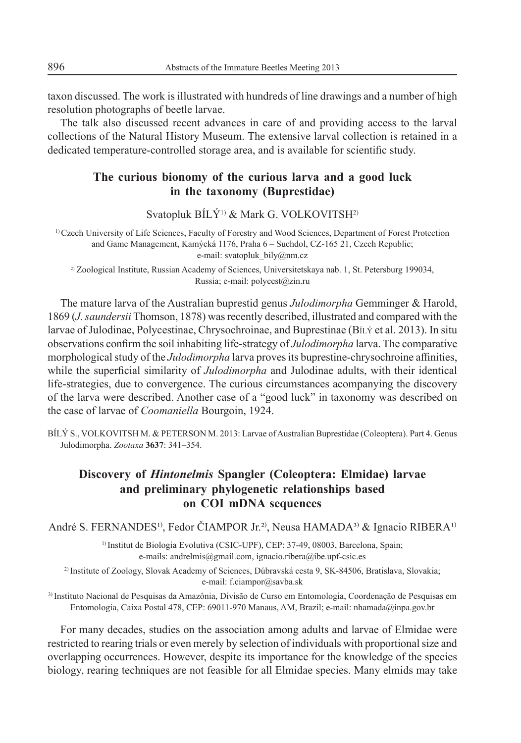taxon discussed. The work is illustrated with hundreds of line drawings and a number of high resolution photographs of beetle larvae.

The talk also discussed recent advances in care of and providing access to the larval collections of the Natural History Museum. The extensive larval collection is retained in a dedicated temperature-controlled storage area, and is available for scientific study.

### **The curious bionomy of the curious larva and a good luck in the taxonomy (Buprestidae)**

Svatopluk BÍLÝ<sup>1)</sup> & Mark G. VOLKOVITSH<sup>2)</sup>

1) Czech University of Life Sciences, Faculty of Forestry and Wood Sciences, Department of Forest Protection and Game Management, Kamýcká 1176, Praha 6 – Suchdol, CZ-165 21, Czech Republic; e-mail: svatopluk\_bily@nm.cz

2) Zoological Institute, Russian Academy of Sciences, Universitetskaya nab. 1, St. Petersburg 199034, Russia; e-mail: polycest@zin.ru

The mature larva of the Australian buprestid genus *Julodimorpha* Gemminger & Harold, 1869 (*J. saundersii* Thomson, 1878) was recently described, illustrated and compared with the larvae of Julodinae, Polycestinae, Chrysochroinae, and Buprestinae (BÍLÝ et al. 2013). In situ observations confirm the soil inhabiting life-strategy of *Julodimorpha* larva. The comparative morphological study of the *Julodimorpha* larva proves its buprestine-chrysochroine affinities, while the superficial similarity of *Julodimorpha* and Julodinae adults, with their identical life-strategies, due to convergence. The curious circumstances acompanying the discovery of the larva were described. Another case of a "good luck" in taxonomy was described on the case of larvae of *Coomaniella* Bourgoin, 1924.

BÍLÝ S., VOLKOVITSH M. & PETERSON M. 2013: Larvae of Australian Buprestidae (Coleoptera). Part 4. Genus Julodimorpha. *Zootaxa* 3637: 341-354.

# **Discovery of** *Hintonelmis* **Spangler (Coleoptera: Elmidae) larvae and preliminary phylogenetic relationships based on COI mDNA sequences**

André S. FERNANDES<sup>1)</sup>, Fedor ČIAMPOR Jr.<sup>2)</sup>, Neusa HAMADA<sup>3)</sup> & Ignacio RIBERA<sup>1)</sup>

1) Institut de Biologia Evolutiva (CSIC-UPF), CEP: 37-49, 08003, Barcelona, Spain; e-mails: andrelmis@gmail.com, ignacio.ribera@ibe.upf-csic.es

2) Institute of Zoology, Slovak Academy of Sciences, Dúbravská cesta 9, SK-84506, Bratislava, Slovakia; e-mail: f.ciampor@savba.sk

3) Instituto Nacional de Pesquisas da Amazônia, Divisão de Curso em Entomologia, Coordenação de Pesquisas em Entomologia, Caixa Postal 478, CEP: 69011-970 Manaus, AM, Brazil; e-mail: nhamada@inpa.gov.br

For many decades, studies on the association among adults and larvae of Elmidae were restricted to rearing trials or even merely by selection of individuals with proportional size and overlapping occurrences. However, despite its importance for the knowledge of the species biology, rearing techniques are not feasible for all Elmidae species. Many elmids may take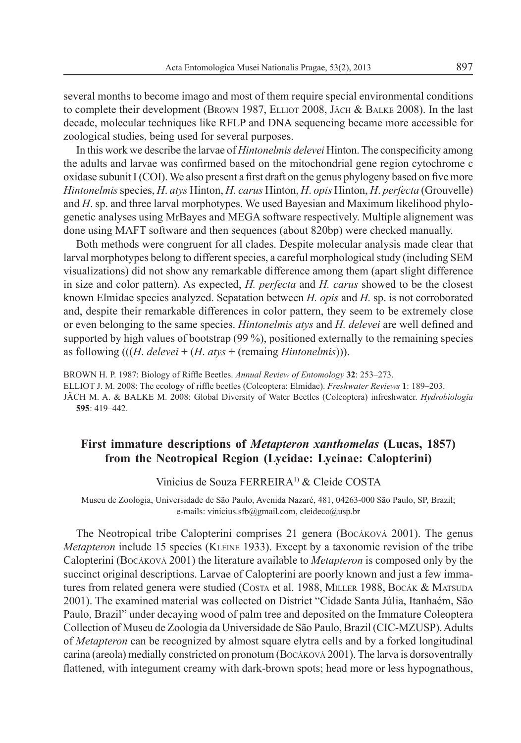several months to become imago and most of them require special environmental conditions to complete their development (BROWN 1987, ELLIOT 2008, JÄCH & BALKE 2008). In the last decade, molecular techniques like RFLP and DNA sequencing became more accessible for zoological studies, being used for several purposes.

In this work we describe the larvae of *Hintonelmis delevei* Hinton. The conspecificity among the adults and larvae was confirmed based on the mitochondrial gene region cytochrome c oxidase subunit  $I (COI)$ . We also present a first draft on the genus phylogeny based on five more *Hintonelmis* species, *H*. *atys* Hinton, *H. carus* Hinton, *H*. *opis* Hinton, *H*. *perfecta* (Grouvelle) and *H*. sp. and three larval morphotypes. We used Bayesian and Maximum likelihood phylogenetic analyses using MrBayes and MEGA software respectively. Multiple alignement was done using MAFT software and then sequences (about 820bp) were checked manually.

Both methods were congruent for all clades. Despite molecular analysis made clear that larval morphotypes belong to different species, a careful morphological study (including SEM visualizations) did not show any remarkable difference among them (apart slight difference in size and color pattern). As expected, *H. perfecta* and *H. carus* showed to be the closest known Elmidae species analyzed. Sepatation between *H. opis* and *H.* sp. is not corroborated and, despite their remarkable differences in color pattern, they seem to be extremely close or even belonging to the same species. *Hintonelmis atys* and *H. delevei* are well defined and supported by high values of bootstrap (99 %), positioned externally to the remaining species as following (((*H*. *delevei* + (*H*. *atys* + (remaing *Hintonelmis*))).

BROWN H. P. 1987: Biology of Riffle Beetles. Annual Review of Entomology 32: 253-273. ELLIOT J. M. 2008: The ecology of riffle beetles (Coleoptera: Elmidae). *Freshwater Reviews* 1: 189–203. JÄCH M. A. & BALKE M. 2008: Global Diversity of Water Beetles (Coleoptera) infreshwater. *Hydrobiologia* **595**: 419-442.

### **First immature descriptions of** *Metapteron xanthomelas* **(Lucas, 1857) from the Neotropical Region (Lycidae: Lycinae: Calopterini)**

#### Vinicius de Souza FERREIRA1) & Cleide COSTA

Museu de Zoologia, Universidade de São Paulo, Avenida Nazaré, 481, 04263-000 São Paulo, SP, Brazil; e-mails: vinicius.sfb@gmail.com, cleideco@usp.br

The Neotropical tribe Calopterini comprises 21 genera (BOCÁKOVÁ 2001). The genus *Metapteron* include 15 species (KLEINE 1933). Except by a taxonomic revision of the tribe Calopterini (BOCÁKOVÁ 2001) the literature available to *Metapteron* is composed only by the succinct original descriptions. Larvae of Calopterini are poorly known and just a few immatures from related genera were studied (COSTA et al. 1988, MILLER 1988, BOCÁK & MATSUDA 2001). The examined material was collected on District "Cidade Santa Júlia, Itanhaém, São Paulo, Brazil" under decaying wood of palm tree and deposited on the Immature Coleoptera Collection of Museu de Zoologia da Universidade de São Paulo, Brazil (CIC-MZUSP). Adults of *Metapteron* can be recognized by almost square elytra cells and by a forked longitudinal carina (areola) medially constricted on pronotum (Bocáková 2001). The larva is dorsoventrally flattened, with integument creamy with dark-brown spots; head more or less hypognathous,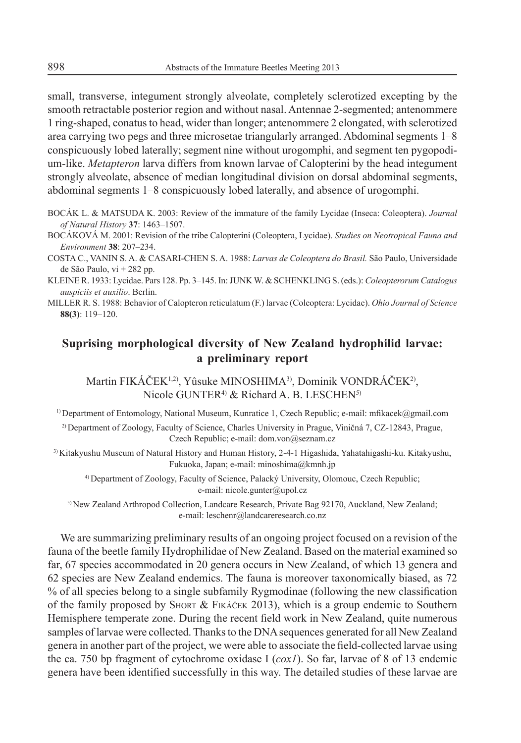small, transverse, integument strongly alveolate, completely sclerotized excepting by the smooth retractable posterior region and without nasal. Antennae 2-segmented; antenommere 1 ring-shaped, conatus to head, wider than longer; antenommere 2 elongated, with sclerotized area carrying two pegs and three microsetae triangularly arranged. Abdominal segments 1–8 conspicuously lobed laterally; segment nine without urogomphi, and segment ten pygopodium-like. *Metapteron* larva differs from known larvae of Calopterini by the head integument strongly alveolate, absence of median longitudinal division on dorsal abdominal segments, abdominal segments 1–8 conspicuously lobed laterally, and absence of urogomphi.

- BOCÁK L. & MATSUDA K. 2003: Review of the immature of the family Lycidae (Inseca: Coleoptera). *Journal of Natural History* 37: 1463-1507.
- BOCÁKOVÁ M. 2001: Revision of the tribe Calopterini (Coleoptera, Lycidae). *Studies on Neotropical Fauna and*  Environment 38: 207-234.
- COSTA C., VANIN S. A. & CASARI-CHEN S. A. 1988: *Larvas de Coleoptera do Brasil.* São Paulo, Universidade de São Paulo, vi + 282 pp.
- KLEINE R. 1933: Lycidae. Pars 128. Pp. 3;145. In: JUNK W. & SCHENKLING S. (eds.): *Coleopterorum Catalogus auspiciis et auxilio*. Berlin.
- MILLER R. S. 1988: Behavior of Calopteron reticulatum (F.) larvae (Coleoptera: Lycidae). *Ohio Journal of Science* **88(3)**: 119-120.

### **Suprising morphological diversity of New Zealand hydrophilid larvae: a preliminary report**

Martin FIKÁČEK<sup>1,2)</sup>, Yûsuke MINOSHIMA<sup>3)</sup>, Dominik VONDRÁČEK<sup>2</sup>), Nicole GUNTER<sup>4)</sup> & Richard A. B. LESCHEN<sup>5)</sup>

<sup>1)</sup> Department of Entomology, National Museum, Kunratice 1, Czech Republic; e-mail: mfikacek@gmail.com

<sup>2)</sup> Department of Zoology, Faculty of Science, Charles University in Prague, Viničná 7, CZ-12843, Prague, Czech Republic; e-mail: dom.von@seznam.cz

3) Kitakyushu Museum of Natural History and Human History, 2-4-1 Higashida, Yahatahigashi-ku. Kitakyushu, Fukuoka, Japan; e-mail: minoshima@kmnh.jp

4) Department of Zoology, Faculty of Science, Palacký University, Olomouc, Czech Republic; e-mail: nicole.gunter@upol.cz

5) New Zealand Arthropod Collection, Landcare Research, Private Bag 92170, Auckland, New Zealand; e-mail: leschenr@landcareresearch.co.nz

We are summarizing preliminary results of an ongoing project focused on a revision of the fauna of the beetle family Hydrophilidae of New Zealand. Based on the material examined so far, 67 species accommodated in 20 genera occurs in New Zealand, of which 13 genera and 62 species are New Zealand endemics. The fauna is moreover taxonomically biased, as 72 % of all species belong to a single subfamily Rygmodinae (following the new classification of the family proposed by SHORT & FIKÁýEK 2013), which is a group endemic to Southern Hemisphere temperate zone. During the recent field work in New Zealand, quite numerous samples of larvae were collected. Thanks to the DNA sequences generated for all New Zealand genera in another part of the project, we were able to associate the field-collected larvae using the ca. 750 bp fragment of cytochrome oxidase I (*cox1*). So far, larvae of 8 of 13 endemic genera have been identified successfully in this way. The detailed studies of these larvae are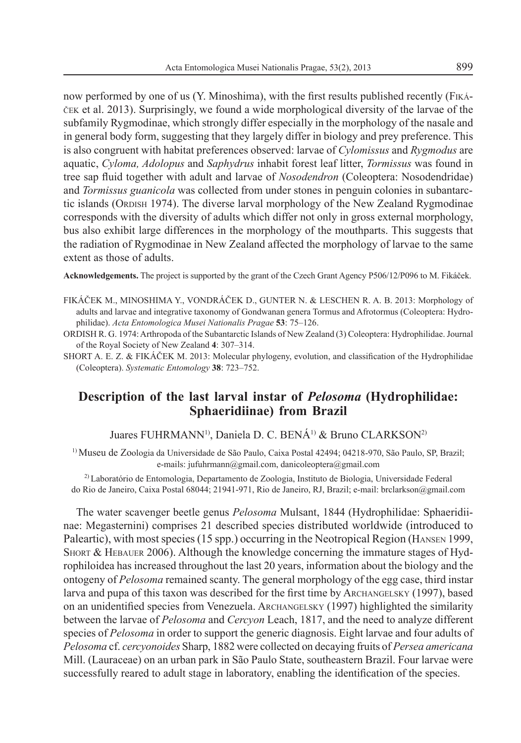now performed by one of us (Y. Minoshima), with the first results published recently (FIKÁ- $\check{C}$ EK et al. 2013). Surprisingly, we found a wide morphological diversity of the larvae of the subfamily Rygmodinae, which strongly differ especially in the morphology of the nasale and in general body form, suggesting that they largely differ in biology and prey preference. This is also congruent with habitat preferences observed: larvae of *Cylomissus* and *Rygmodus* are aquatic, *Cyloma, Adolopus* and *Saphydrus* inhabit forest leaf litter, *Tormissus* was found in tree sap fluid together with adult and larvae of *Nosodendron* (Coleoptera: Nosodendridae) and *Tormissus guanicola* was collected from under stones in penguin colonies in subantarctic islands (ORDISH 1974). The diverse larval morphology of the New Zealand Rygmodinae corresponds with the diversity of adults which differ not only in gross external morphology, bus also exhibit large differences in the morphology of the mouthparts. This suggests that the radiation of Rygmodinae in New Zealand affected the morphology of larvae to the same extent as those of adults.

Acknowledgements. The project is supported by the grant of the Czech Grant Agency P506/12/P096 to M. Fikáček.

- FIKÁýEK M., MINOSHIMA Y., VONDRÁýEK D., GUNTER N. & LESCHEN R. A. B. 2013: Morphology of adults and larvae and integrative taxonomy of Gondwanan genera Tormus and Afrotormus (Coleoptera: Hydrophilidae). *Acta Entomologica Musei Nationalis Pragae* 53: 75-126.
- ORDISH R. G. 1974: Arthropoda of the Subantarctic Islands of New Zealand (3) Coleoptera: Hydrophilidae. Journal of the Royal Society of New Zealand 4: 307-314.
- SHORT A. E. Z. & FIKÁČEK M. 2013: Molecular phylogeny, evolution, and classification of the Hydrophilidae (Coleoptera). *Systematic Entomology* 38: 723-752.

# **Description of the last larval instar of** *Pelosoma* **(Hydrophilidae: Sphaeridiinae) from Brazil**

Juares FUHRMANN<sup>1)</sup>, Daniela D. C. BENÁ<sup>1)</sup> & Bruno CLARKSON<sup>2)</sup>

1) Museu de Zoologia da Universidade de São Paulo, Caixa Postal 42494; 04218-970, São Paulo, SP, Brazil; e-mails: jufuhrmann@gmail.com, danicoleoptera@gmail.com

2) Laboratório de Entomologia, Departamento de Zoologia, Instituto de Biologia, Universidade Federal do Rio de Janeiro, Caixa Postal 68044; 21941-971, Rio de Janeiro, RJ, Brazil; e-mail: brclarkson@gmail.com

The water scavenger beetle genus *Pelosoma* Mulsant, 1844 (Hydrophilidae: Sphaeridiinae: Megasternini) comprises 21 described species distributed worldwide (introduced to Paleartic), with most species (15 spp.) occurring in the Neotropical Region (HANSEN 1999, SHORT & HEBAUER 2006). Although the knowledge concerning the immature stages of Hydrophiloidea has increased throughout the last 20 years, information about the biology and the ontogeny of *Pelosoma* remained scanty. The general morphology of the egg case, third instar larva and pupa of this taxon was described for the first time by ARCHANGELSKY  $(1997)$ , based on an unidentified species from Venezuela. ARCHANGELSKY (1997) highlighted the similarity between the larvae of *Pelosoma* and *Cercyon* Leach, 1817, and the need to analyze different species of *Pelosoma* in order to support the generic diagnosis. Eight larvae and four adults of *Pelosoma* cf. *cercyonoides* Sharp, 1882 were collected on decaying fruits of *Persea americana* Mill. (Lauraceae) on an urban park in São Paulo State, southeastern Brazil. Four larvae were successfully reared to adult stage in laboratory, enabling the identification of the species.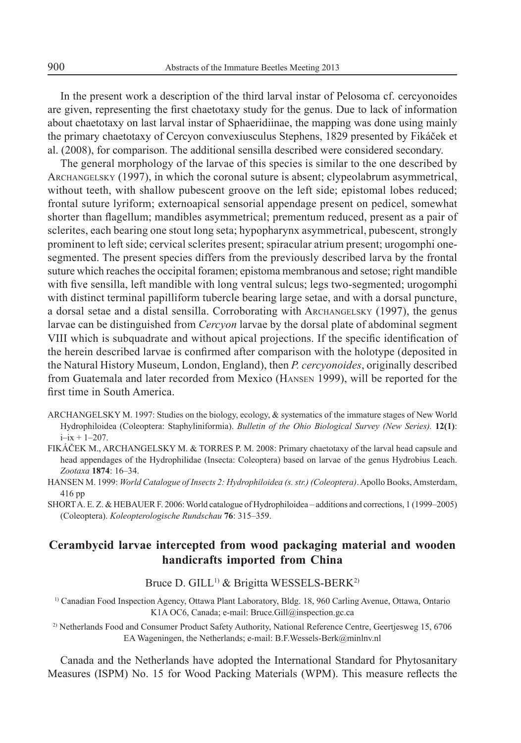In the present work a description of the third larval instar of Pelosoma cf. cercyonoides are given, representing the first chaetotaxy study for the genus. Due to lack of information about chaetotaxy on last larval instar of Sphaeridiinae, the mapping was done using mainly the primary chaetotaxy of Cercyon convexiusculus Stephens, 1829 presented by Fikáček et al. (2008), for comparison. The additional sensilla described were considered secondary.

The general morphology of the larvae of this species is similar to the one described by ARCHANGELSKY (1997), in which the coronal suture is absent; clypeolabrum asymmetrical, without teeth, with shallow pubescent groove on the left side; epistomal lobes reduced; frontal suture lyriform; externoapical sensorial appendage present on pedicel, somewhat shorter than flagellum; mandibles asymmetrical; prementum reduced, present as a pair of sclerites, each bearing one stout long seta; hypopharynx asymmetrical, pubescent, strongly prominent to left side; cervical sclerites present; spiracular atrium present; urogomphi onesegmented. The present species differs from the previously described larva by the frontal suture which reaches the occipital foramen; epistoma membranous and setose; right mandible with five sensilla, left mandible with long ventral sulcus; legs two-segmented; urogomphi with distinct terminal papilliform tubercle bearing large setae, and with a dorsal puncture, a dorsal setae and a distal sensilla. Corroborating with ARCHANGELSKY (1997), the genus larvae can be distinguished from *Cercyon* larvae by the dorsal plate of abdominal segment VIII which is subquadrate and without apical projections. If the specific identification of the herein described larvae is confirmed after comparison with the holotype (deposited in the Natural History Museum, London, England), then *P. cercyonoides*, originally described from Guatemala and later recorded from Mexico (HANSEN 1999), will be reported for the first time in South America.

- ARCHANGELSKY M. 1997: Studies on the biology, ecology, & systematics of the immature stages of New World Hydrophiloidea (Coleoptera: Staphyliniformia). *Bulletin of the Ohio Biological Survey (New Series).* **12(1)**:  $i - ix + 1 - 207$ .
- FIKÁČEK M., ARCHANGELSKY M. & TORRES P. M. 2008: Primary chaetotaxy of the larval head capsule and head appendages of the Hydrophilidae (Insecta: Coleoptera) based on larvae of the genus Hydrobius Leach. Zootaxa 1874: 16-34.
- HANSEN M. 1999: *World Catalogue of Insects 2: Hydrophiloidea (s. str.) (Coleoptera)*. Apollo Books, Amsterdam, 416 pp

SHORT A. E. Z. & HEBAUER F. 2006: World catalogue of Hydrophiloidea – additions and corrections, 1 (1999–2005) (Coleoptera). *Koleopterologische Rundschau* 76: 315-359.

### **Cerambycid larvae intercepted from wood packaging material and wooden handicrafts imported from China**

Bruce D. GILL<sup>1)</sup> & Brigitta WESSELS-BERK<sup>2)</sup>

1) Canadian Food Inspection Agency, Ottawa Plant Laboratory, Bldg. 18, 960 Carling Avenue, Ottawa, Ontario K1A OC6, Canada; e-mail: Bruce.Gill@inspection.gc.ca

2) Netherlands Food and Consumer Product Safety Authority, National Reference Centre, Geertjesweg 15, 6706 EA Wageningen, the Netherlands; e-mail: B.F.Wessels-Berk@minlnv.nl

Canada and the Netherlands have adopted the International Standard for Phytosanitary Measures (ISPM) No. 15 for Wood Packing Materials (WPM). This measure reflects the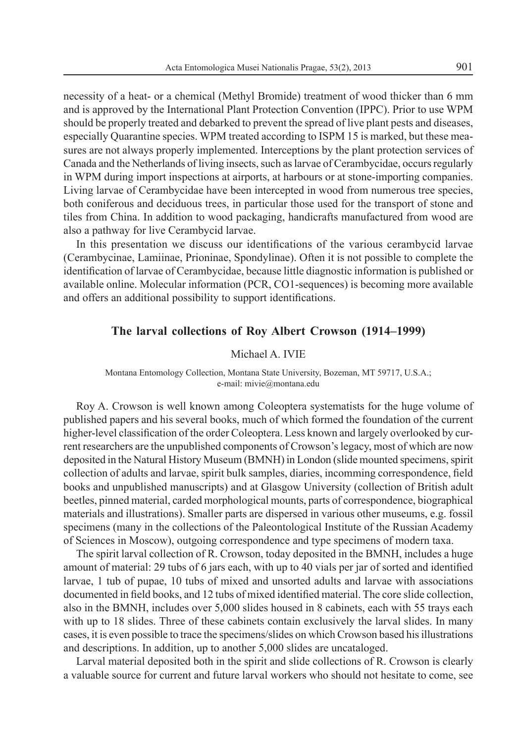necessity of a heat- or a chemical (Methyl Bromide) treatment of wood thicker than 6 mm and is approved by the International Plant Protection Convention (IPPC). Prior to use WPM should be properly treated and debarked to prevent the spread of live plant pests and diseases, especially Quarantine species. WPM treated according to ISPM 15 is marked, but these measures are not always properly implemented. Interceptions by the plant protection services of Canada and the Netherlands of living insects, such as larvae of Cerambycidae, occurs regularly in WPM during import inspections at airports, at harbours or at stone-importing companies. Living larvae of Cerambycidae have been intercepted in wood from numerous tree species, both coniferous and deciduous trees, in particular those used for the transport of stone and tiles from China. In addition to wood packaging, handicrafts manufactured from wood are also a pathway for live Cerambycid larvae.

In this presentation we discuss our identifications of the various cerambycid larvae (Cerambycinae, Lamiinae, Prioninae, Spondylinae). Often it is not possible to complete the identification of larvae of Cerambycidae, because little diagnostic information is published or available online. Molecular information (PCR, CO1-sequences) is becoming more available and offers an additional possibility to support identifications.

#### **The larval collections of Roy Albert Crowson (1914–1999)**

#### Michael A. IVIE

#### Montana Entomology Collection, Montana State University, Bozeman, MT 59717, U.S.A.; e-mail: mivie@montana.edu

Roy A. Crowson is well known among Coleoptera systematists for the huge volume of published papers and his several books, much of which formed the foundation of the current higher-level classification of the order Coleoptera. Less known and largely overlooked by current researchers are the unpublished components of Crowson's legacy, most of which are now deposited in the Natural History Museum (BMNH) in London (slide mounted specimens, spirit collection of adults and larvae, spirit bulk samples, diaries, incomming correspondence, field books and unpublished manuscripts) and at Glasgow University (collection of British adult beetles, pinned material, carded morphological mounts, parts of correspondence, biographical materials and illustrations). Smaller parts are dispersed in various other museums, e.g. fossil specimens (many in the collections of the Paleontological Institute of the Russian Academy of Sciences in Moscow), outgoing correspondence and type specimens of modern taxa.

The spirit larval collection of R. Crowson, today deposited in the BMNH, includes a huge amount of material: 29 tubs of 6 jars each, with up to 40 vials per jar of sorted and identified larvae, 1 tub of pupae, 10 tubs of mixed and unsorted adults and larvae with associations documented in field books, and 12 tubs of mixed identified material. The core slide collection, also in the BMNH, includes over 5,000 slides housed in 8 cabinets, each with 55 trays each with up to 18 slides. Three of these cabinets contain exclusively the larval slides. In many cases, it is even possible to trace the specimens/slides on which Crowson based his illustrations and descriptions. In addition, up to another 5,000 slides are uncataloged.

Larval material deposited both in the spirit and slide collections of R. Crowson is clearly a valuable source for current and future larval workers who should not hesitate to come, see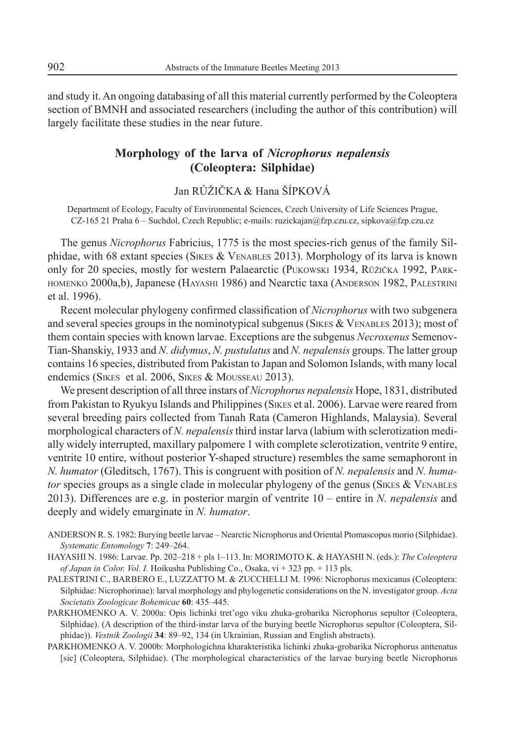and study it. An ongoing databasing of all this material currently performed by the Coleoptera section of BMNH and associated researchers (including the author of this contribution) will largely facilitate these studies in the near future.

### **Morphology of the larva of** *Nicrophorus nepalensis* **(Coleoptera: Silphidae)**

Jan RŮŽIČKA & Hana ŠÍPKOVÁ

Department of Ecology, Faculty of Environmental Sciences, Czech University of Life Sciences Prague, CZ-165 21 Praha 6 - Suchdol, Czech Republic; e-mails: ruzickajan@fzp.czu.cz, sipkova@fzp.czu.cz

The genus *Nicrophorus* Fabricius, 1775 is the most species-rich genus of the family Silphidae, with 68 extant species (SIKES & VENABLES 2013). Morphology of its larva is known only for 20 species, mostly for western Palaearctic (PUKOWSKI 1934, RŮŽIČKA 1992, PARK-HOMENKO 2000a,b), Japanese (HAYASHI 1986) and Nearctic taxa (ANDERSON 1982, PALESTRINI et al. 1996).

Recent molecular phylogeny confirmed classification of *Nicrophorus* with two subgenera and several species groups in the nominotypical subgenus (SIKES & VENABLES 2013); most of them contain species with known larvae. Exceptions are the subgenus *Necroxenus* Semenov-Tian-Shanskiy, 1933 and *N. didymus*, *N. pustulatus* and *N. nepalensis* groups. The latter group contains 16 species, distributed from Pakistan to Japan and Solomon Islands, with many local endemics (SIKES et al. 2006, SIKES & MOUSSEAU 2013).

We present description of all three instars of *Nicrophorus nepalensis* Hope, 1831, distributed from Pakistan to Ryukyu Islands and Philippines (SIKES et al. 2006). Larvae were reared from several breeding pairs collected from Tanah Rata (Cameron Highlands, Malaysia). Several morphological characters of *N. nepalensis* third instar larva (labium with sclerotization medially widely interrupted, maxillary palpomere 1 with complete sclerotization, ventrite 9 entire, ventrite 10 entire, without posterior Y-shaped structure) resembles the same semaphoront in *N. humator* (Gleditsch, 1767). This is congruent with position of *N. nepalensis* and *N. humator* species groups as a single clade in molecular phylogeny of the genus (SIKES & VENABLES 2013). Differences are e.g. in posterior margin of ventrite  $10$  – entire in *N. nepalensis* and deeply and widely emarginate in *N. humator*.

ANDERSON R. S. 1982: Burying beetle larvae – Nearctic Nicrophorus and Oriental Ptomascopus morio (Silphidae). Systematic Entomology 7: 249-264.

HAYASHI N. 1986: Larvae. Pp. 202-218 + pls 1-113. In: MORIMOTO K. & HAYASHI N. (eds.): *The Coleoptera of Japan in Color. Vol. I.* Hoikusha Publishing Co., Osaka, vi + 323 pp. + 113 pls.

- PALESTRINI C., BARBERO E., LUZZATTO M. & ZUCCHELLI M. 1996: Nicrophorus mexicanus (Coleoptera: Silphidae: Nicrophorinae): larval morphology and phylogenetic considerations on the N. investigator group. *Acta*  Societatis Zoologicae Bohemicae 60: 435-445.
- PARKHOMENKO A. V. 2000a: Opis lichinki tret'ogo viku zhuka-grobarika Nicrophorus sepultor (Coleoptera, Silphidae). (A description of the third-instar larva of the burying beetle Nicrophorus sepultor (Coleoptera, Silphidae)). *Vestnik Zoologii* 34: 89–92, 134 (in Ukrainian, Russian and English abstracts).

PARKHOMENKO A. V. 2000b: Morphologichna kharakteristika lichinki zhuka-grobarika Nicrophorus anttenatus [sic] (Coleoptera, Silphidae). (The morphological characteristics of the larvae burying beetle Nicrophorus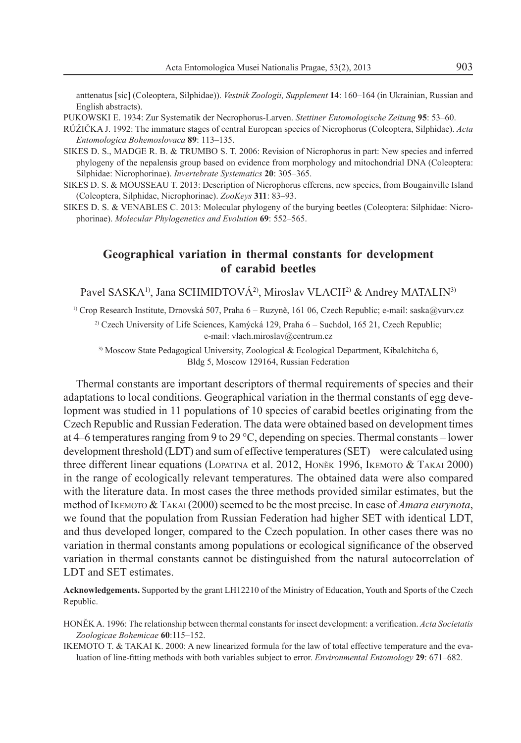anttenatus [sic] (Coleoptera, Silphidae)). *Vestnik Zoologii, Supplement* 14: 160–164 (in Ukrainian, Russian and English abstracts).

- PUKOWSKI E. 1934: Zur Systematik der Necrophorus-Larven. *Stettiner Entomologische Zeitung* 95: 53-60.
- RģÜIýKA J. 1992: The immature stages of central European species of Nicrophorus (Coleoptera, Silphidae). *Acta Entomologica Bohemoslovaca* 89: 113-135.
- SIKES D. S., MADGE R. B. & TRUMBO S. T. 2006: Revision of Nicrophorus in part: New species and inferred phylogeny of the nepalensis group based on evidence from morphology and mitochondrial DNA (Coleoptera: Silphidae: Nicrophorinae). *Invertebrate Systematics* 20: 305-365.
- SIKES D. S. & MOUSSEAU T. 2013: Description of Nicrophorus efferens, new species, from Bougainville Island (Coleoptera, Silphidae, Nicrophorinae). *ZooKeys* 311: 83-93.
- SIKES D. S. & VENABLES C. 2013: Molecular phylogeny of the burying beetles (Coleoptera: Silphidae: Nicrophorinae). *Molecular Phylogenetics and Evolution* **69**: 552–565.

### **Geographical variation in thermal constants for development of carabid beetles**

Pavel SASKA<sup>1)</sup>, Jana SCHMIDTOVÁ<sup>2)</sup>, Miroslav VLACH<sup>2)</sup> & Andrey MATALIN<sup>3)</sup>

<sup>1)</sup> Crop Research Institute, Drnovská 507, Praha 6 – Ruzyně, 161 06, Czech Republic; e-mail: saska@vurv.cz

<sup>2)</sup> Czech University of Life Sciences, Kamýcká 129, Praha  $6 -$  Suchdol, 165 21, Czech Republic; e-mail: vlach.miroslav@centrum.cz

3) Moscow State Pedagogical University, Zoological & Ecological Department, Kibalchitcha 6, Bldg 5, Moscow 129164, Russian Federation

Thermal constants are important descriptors of thermal requirements of species and their adaptations to local conditions. Geographical variation in the thermal constants of egg development was studied in 11 populations of 10 species of carabid beetles originating from the Czech Republic and Russian Federation. The data were obtained based on development times at 4–6 temperatures ranging from 9 to 29  $^{\circ}$ C, depending on species. Thermal constants – lower development threshold  $(LDT)$  and sum of effective temperatures  $(SET)$  – were calculated using three different linear equations (LOPATINA et al. 2012, HONċK 1996, IKEMOTO & TAKAI 2000) in the range of ecologically relevant temperatures. The obtained data were also compared with the literature data. In most cases the three methods provided similar estimates, but the method of IKEMOTO & TAKAI (2000) seemed to be the most precise. In case of *Amara eurynota*, we found that the population from Russian Federation had higher SET with identical LDT, and thus developed longer, compared to the Czech population. In other cases there was no variation in thermal constants among populations or ecological significance of the observed variation in thermal constants cannot be distinguished from the natural autocorrelation of LDT and SET estimates.

**Acknowledgements.** Supported by the grant LH12210 of the Ministry of Education, Youth and Sports of the Czech Republic.

IKEMOTO T. & TAKAI K. 2000: A new linearized formula for the law of total effective temperature and the evaluation of line-fitting methods with both variables subject to error. *Environmental Entomology* 29: 671-682.

HONĚK A. 1996: The relationship between thermal constants for insect development: a verification. *Acta Societatis* Zoologicae Bohemicae 60:115-152.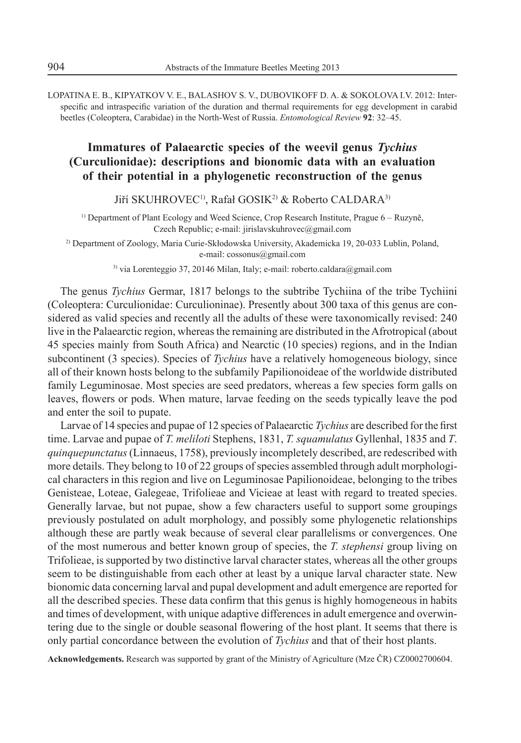LOPATINA E. B., KIPYATKOV V. E., BALASHOV S. V., DUBOVIKOFF D. A. & SOKOLOVA I.V. 2012: Interspecific and intraspecific variation of the duration and thermal requirements for egg development in carabid beetles (Coleoptera, Carabidae) in the North-West of Russia. *Entomological Review* 92: 32-45.

# **Immatures of Palaearctic species of the weevil genus** *Tychius* **(Curculionidae): descriptions and bionomic data with an evaluation of their potential in a phylogenetic reconstruction of the genus**

Jiří SKUHROVEC<sup>1)</sup>, Rafał GOSIK<sup>2)</sup> & Roberto CALDARA<sup>3)</sup>

<sup>1)</sup> Department of Plant Ecology and Weed Science, Crop Research Institute, Prague  $6 - \text{Ruzynë}$ , Czech Republic; e-mail: jirislavskuhrovec@gmail.com

<sup>2)</sup> Department of Zoology, Maria Curie-Skłodowska University, Akademicka 19, 20-033 Lublin, Poland, e-mail: cossonus@gmail.com

3) via Lorenteggio 37, 20146 Milan, Italy; e-mail: roberto.caldara@gmail.com

The genus *Tychius* Germar, 1817 belongs to the subtribe Tychiina of the tribe Tychiini (Coleoptera: Curculionidae: Curculioninae). Presently about 300 taxa of this genus are considered as valid species and recently all the adults of these were taxonomically revised: 240 live in the Palaearctic region, whereas the remaining are distributed in the Afrotropical (about 45 species mainly from South Africa) and Nearctic (10 species) regions, and in the Indian subcontinent (3 species). Species of *Tychius* have a relatively homogeneous biology, since all of their known hosts belong to the subfamily Papilionoideae of the worldwide distributed family Leguminosae. Most species are seed predators, whereas a few species form galls on leaves, flowers or pods. When mature, larvae feeding on the seeds typically leave the pod and enter the soil to pupate.

Larvae of 14 species and pupae of 12 species of Palaearctic *Tychius* are described for the first time. Larvae and pupae of *T. meliloti* Stephens, 1831, *T. squamulatus* Gyllenhal, 1835 and *T*. *quinquepunctatus* (Linnaeus, 1758), previously incompletely described, are redescribed with more details. They belong to 10 of 22 groups of species assembled through adult morphological characters in this region and live on Leguminosae Papilionoideae, belonging to the tribes Genisteae, Loteae, Galegeae, Trifolieae and Vicieae at least with regard to treated species. Generally larvae, but not pupae, show a few characters useful to support some groupings previously postulated on adult morphology, and possibly some phylogenetic relationships although these are partly weak because of several clear parallelisms or convergences. One of the most numerous and better known group of species, the *T. stephensi* group living on Trifolieae, is supported by two distinctive larval character states, whereas all the other groups seem to be distinguishable from each other at least by a unique larval character state. New bionomic data concerning larval and pupal development and adult emergence are reported for all the described species. These data confirm that this genus is highly homogeneous in habits and times of development, with unique adaptive differences in adult emergence and overwintering due to the single or double seasonal flowering of the host plant. It seems that there is only partial concordance between the evolution of *Tychius* and that of their host plants.

Acknowledgements. Research was supported by grant of the Ministry of Agriculture (Mze ČR) CZ0002700604.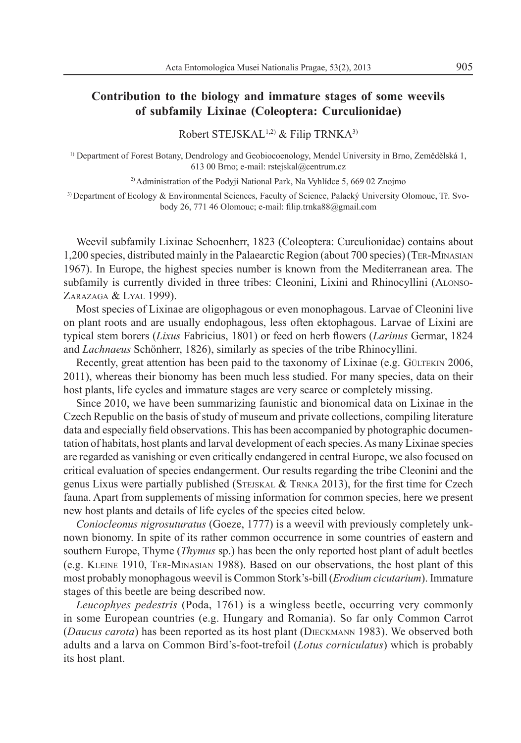### **Contribution to the biology and immature stages of some weevils of subfamily Lixinae (Coleoptera: Curculionidae)**

Robert STEJSKAL1,2) & Filip TRNKA3)

<sup>1)</sup> Department of Forest Botany, Dendrology and Geobiocoenology, Mendel University in Brno, Zemědělská 1, 613 00 Brno; e-mail: rstejskal@centrum.cz

<sup>2)</sup> Administration of the Podvií National Park, Na Vyhlídce 5, 669 02 Znojmo

 $3)$  Department of Ecology & Environmental Sciences, Faculty of Science, Palacký University Olomouc, Tř. Svobody 26, 771 46 Olomouc; e-mail: filip.trnka88@gmail.com

Weevil subfamily Lixinae Schoenherr, 1823 (Coleoptera: Curculionidae) contains about 1,200 species, distributed mainly in the Palaearctic Region (about 700 species) (TER-MINASIAN 1967). In Europe, the highest species number is known from the Mediterranean area. The subfamily is currently divided in three tribes: Cleonini, Lixini and Rhinocyllini (ALONSO-ZARAZAGA & LYAL 1999).

Most species of Lixinae are oligophagous or even monophagous. Larvae of Cleonini live on plant roots and are usually endophagous, less often ektophagous. Larvae of Lixini are typical stem borers (*Lixus* Fabricius, 1801) or feed on herb flowers (*Larinus* Germar, 1824 and *Lachnaeus* Schönherr, 1826), similarly as species of the tribe Rhinocyllini.

Recently, great attention has been paid to the taxonomy of Lixinae (e.g. GÜLTEKIN 2006, 2011), whereas their bionomy has been much less studied. For many species, data on their host plants, life cycles and immature stages are very scarce or completely missing.

Since 2010, we have been summarizing faunistic and bionomical data on Lixinae in the Czech Republic on the basis of study of museum and private collections, compiling literature data and especially field observations. This has been accompanied by photographic documentation of habitats, host plants and larval development of each species. As many Lixinae species are regarded as vanishing or even critically endangered in central Europe, we also focused on critical evaluation of species endangerment. Our results regarding the tribe Cleonini and the genus Lixus were partially published (STEJSKAL & TRNKA 2013), for the first time for Czech fauna. Apart from supplements of missing information for common species, here we present new host plants and details of life cycles of the species cited below.

*Coniocleonus nigrosuturatus* (Goeze, 1777) is a weevil with previously completely unknown bionomy. In spite of its rather common occurrence in some countries of eastern and southern Europe, Thyme (*Thymus* sp.) has been the only reported host plant of adult beetles (e.g. KLEINE 1910, TER-MINASIAN 1988). Based on our observations, the host plant of this most probably monophagous weevil is Common Stork's-bill (*Erodium cicutarium*). Immature stages of this beetle are being described now.

*Leucophyes pedestris* (Poda, 1761) is a wingless beetle, occurring very commonly in some European countries (e.g. Hungary and Romania). So far only Common Carrot (*Daucus carota*) has been reported as its host plant (DIECKMANN 1983). We observed both adults and a larva on Common Bird's-foot-trefoil (*Lotus corniculatus*) which is probably its host plant.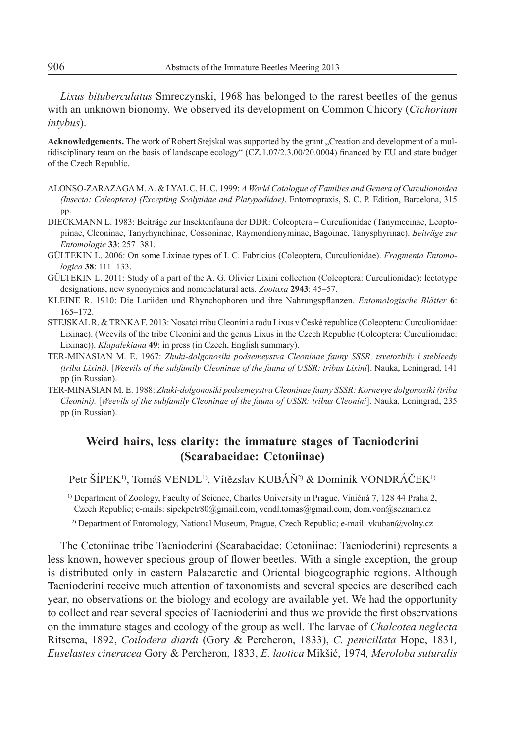*Lixus bituberculatus* Smreczynski, 1968 has belonged to the rarest beetles of the genus with an unknown bionomy. We observed its development on Common Chicory (*Cichorium intybus*).

Acknowledgements. The work of Robert Stejskal was supported by the grant "Creation and development of a multidisciplinary team on the basis of landscape ecology"  $(CZ.1.07/2.3.00/20.0004)$  financed by EU and state budget of the Czech Republic.

- ALONSO-ZARAZAGA M. A. & LYAL C. H. C. 1999: *A World Catalogue of Families and Genera of Curculionoidea (Insecta: Coleoptera) (Excepting Scolytidae and Platypodidae)*. Entomopraxis, S. C. P. Edition, Barcelona, 315 pp.
- DIECKMANN L. 1983: Beiträge zur Insektenfauna der DDR: Coleoptera Curculionidae (Tanymecinae, Leoptopiinae, Cleoninae, Tanyrhynchinae, Cossoninae, Raymondionyminae, Bagoinae, Tanysphyrinae). *Beiträge zur Entomologie* 33: 257-381.
- GÜLTEKIN L. 2006: On some Lixinae types of I. C. Fabricius (Coleoptera, Curculionidae). *Fragmenta Entomo*logica 38: 111-133.
- GÜLTEKIN L. 2011: Study of a part of the A. G. Olivier Lixini collection (Coleoptera: Curculionidae): lectotype designations, new synonymies and nomenclatural acts. *Zootaxa* 2943: 45–57.
- KLEINE R. 1910: Die Lariiden und Rhynchophoren und ihre Nahrungspflanzen. *Entomologische Blätter* 6:  $165 - 172.$
- STEJSKAL R. & TRNKA F. 2013: Nosatci tribu Cleonini a rodu Lixus v České republice (Coleoptera: Curculionidae: Lixinae). (Weevils of the tribe Cleonini and the genus Lixus in the Czech Republic (Coleoptera: Curculionidae: Lixinae)). *Klapalekiana* **49**: in press (in Czech, English summary).
- TER-MINASIAN M. E. 1967: *Zhuki-dolgonosiki podsemeystva Cleoninae fauny SSSR, tsvetozhily i stebleedy (triba Lixini)*. [*Weevils of the subfamily Cleoninae of the fauna of USSR: tribus Lixini*]. Nauka, Leningrad, 141 pp (in Russian).
- TER-MINASIAN M. E. 1988: *Zhuki-dolgonosiki podsemeystva Cleoninae fauny SSSR: Kornevye dolgonosiki (triba Cleonini).* [*Weevils of the subfamily Cleoninae of the fauna of USSR: tribus Cleonini*]. Nauka, Leningrad, 235 pp (in Russian).

### **Weird hairs, less clarity: the immature stages of Taenioderini (Scarabaeidae: Cetoniinae)**

Petr ŠÍPEK<sup>1)</sup>, Tomáš VENDL<sup>1)</sup>, Vítězslav KUBÁŇ<sup>2)</sup> & Dominik VONDRÁČEK<sup>1)</sup>

<sup>1)</sup> Department of Zoology, Faculty of Science, Charles University in Prague, Viničná 7, 128 44 Praha 2, Czech Republic; e-mails: sipekpetr80@gmail.com, vendl.tomas@gmail.com, dom.von@seznam.cz 2) Department of Entomology, National Museum, Prague, Czech Republic; e-mail: vkuban@volny.cz

The Cetoniinae tribe Taenioderini (Scarabaeidae: Cetoniinae: Taenioderini) represents a less known, however specious group of flower beetles. With a single exception, the group is distributed only in eastern Palaearctic and Oriental biogeographic regions. Although Taenioderini receive much attention of taxonomists and several species are described each year, no observations on the biology and ecology are available yet. We had the opportunity to collect and rear several species of Taenioderini and thus we provide the first observations on the immature stages and ecology of the group as well. The larvae of *Chalcotea neglecta* Ritsema, 1892, *Coilodera diardi* (Gory & Percheron, 1833), *C. penicillata* Hope, 1831*, Euselastes cineracea* Gory & Percheron, 1833, *E. laotica* Mikliü, 1974*, Meroloba suturalis*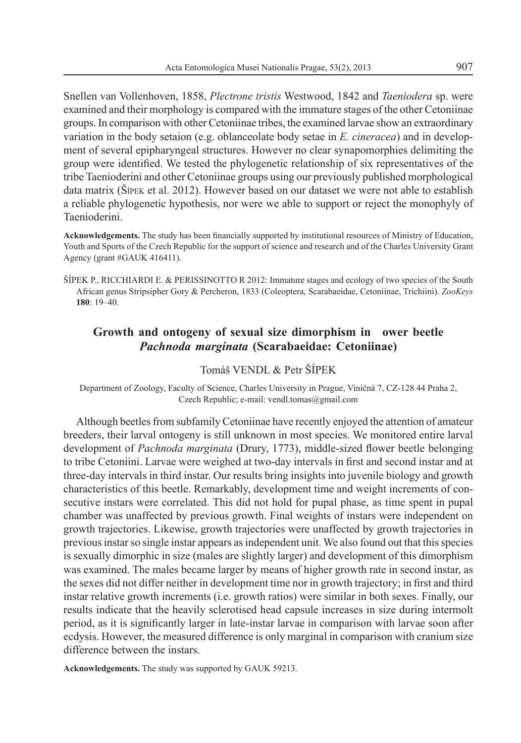Snellen van Vollenhoven, 1858, *Plectrone tristis* Westwood, 1842 and *Taeniodera* sp. were examined and their morphology is compared with the immature stages of the other Cetoniinae groups. In comparison with other Cetoniinae tribes, the examined larvae show an extraordinary variation in the body setaion (e.g. oblanceolate body setae in *E. cineracea*) and in development of several epipharyngeal structures. However no clear synapomorphies delimiting the group were identified. We tested the phylogenetic relationship of six representatives of the tribe Taenioderini and other Cetoniinae groups using our previously published morphological data matrix ( $\widehat{\text{S}}$ IPEK et al. 2012). However based on our dataset we were not able to establish a reliable phylogenetic hypothesis, nor were we able to support or reject the monophyly of Taenioderini.

Acknowledgements. The study has been financially supported by institutional resources of Ministry of Education, Youth and Sports of the Czech Republic for the support of science and research and of the Charles University Grant Agency (grant #GAUK 416411).

\ÍPEK P., RICCHIARDI E. & PERISSINOTTO R 2012: Immature stages and ecology of two species of the South African genus Stripsipher Gory & Percheron, 1833 (Coleoptera, Scarabaeidae, Cetoniinae, Trichiini). *ZooKeys* **180**: 19-40.

### **Growth and ontogeny of sexual size dimorphism in ower beetle**  *Pachnoda marginata* **(Scarabaeidae: Cetoniinae)**

#### Tomáš VENDL & Petr ŠÍPEK

Department of Zoology, Faculty of Science, Charles University in Prague, Viničná 7, CZ-128 44 Praha 2, Czech Republic; e-mail: vendl.tomas@gmail.com

Although beetles from subfamily Cetoniinae have recently enjoyed the attention of amateur breeders, their larval ontogeny is still unknown in most species. We monitored entire larval development of *Pachnoda marginata* (Drury, 1773), middle-sized flower beetle belonging to tribe Cetoniini. Larvae were weighed at two-day intervals in first and second instar and at three-day intervals in third instar. Our results bring insights into juvenile biology and growth characteristics of this beetle. Remarkably, development time and weight increments of consecutive instars were correlated. This did not hold for pupal phase, as time spent in pupal chamber was unaffected by previous growth. Final weights of instars were independent on growth trajectories. Likewise, growth trajectories were unaffected by growth trajectories in previous instar so single instar appears as independent unit. We also found out that this species is sexually dimorphic in size (males are slightly larger) and development of this dimorphism was examined. The males became larger by means of higher growth rate in second instar, as the sexes did not differ neither in development time nor in growth trajectory; in first and third instar relative growth increments (i.e. growth ratios) were similar in both sexes. Finally, our results indicate that the heavily sclerotised head capsule increases in size during intermolt period, as it is significantly larger in late-instar larvae in comparison with larvae soon after ecdysis. However, the measured difference is only marginal in comparison with cranium size difference between the instars.

**Acknowledgements.** The study was supported by GAUK 59213.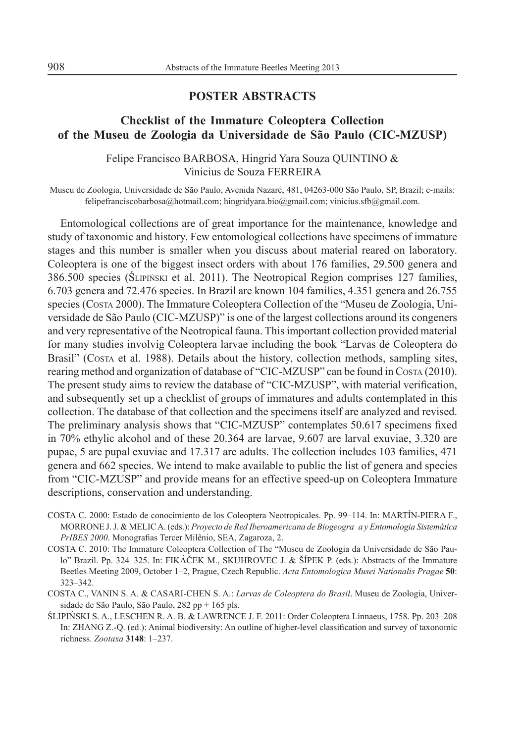### **POSTER ABSTRACTS**

# **Checklist of the Immature Coleoptera Collection of the Museu de Zoologia da Universidade de São Paulo (CIC-MZUSP)**

### Felipe Francisco BARBOSA, Hingrid Yara Souza QUINTINO & Vinicius de Souza FERREIRA

Museu de Zoologia, Universidade de São Paulo, Avenida Nazaré, 481, 04263-000 São Paulo, SP, Brazil; e-mails: felipefranciscobarbosa@hotmail.com; hingridyara.bio@gmail.com; vinicius.sfb@gmail.com.

Entomological collections are of great importance for the maintenance, knowledge and study of taxonomic and history. Few entomological collections have specimens of immature stages and this number is smaller when you discuss about material reared on laboratory. Coleoptera is one of the biggest insect orders with about 176 families, 29.500 genera and 386.500 species ( $\text{SLPINSKI}$  et al. 2011). The Neotropical Region comprises 127 families, 6.703 genera and 72.476 species. In Brazil are known 104 families, 4.351 genera and 26.755 species (Costa 2000). The Immature Coleoptera Collection of the "Museu de Zoologia, Universidade de São Paulo (CIC-MZUSP)" is one of the largest collections around its congeners and very representative of the Neotropical fauna. This important collection provided material for many studies involvig Coleoptera larvae including the book "Larvas de Coleoptera do Brasil" (Costa et al. 1988). Details about the history, collection methods, sampling sites, rearing method and organization of database of "CIC-MZUSP" can be found in Costa (2010). The present study aims to review the database of "CIC-MZUSP", with material verification, and subsequently set up a checklist of groups of immatures and adults contemplated in this collection. The database of that collection and the specimens itself are analyzed and revised. The preliminary analysis shows that "CIC-MZUSP" contemplates 50.617 specimens fixed in 70% ethylic alcohol and of these 20.364 are larvae, 9.607 are larval exuviae, 3.320 are pupae, 5 are pupal exuviae and 17.317 are adults. The collection includes 103 families, 471 genera and 662 species. We intend to make available to public the list of genera and species from "CIC-MZUSP" and provide means for an effective speed-up on Coleoptera Immature descriptions, conservation and understanding.

- COSTA C. 2000: Estado de conocimiento de los Coleoptera Neotropicales. Pp. 99-114. In: MARTÍN-PIERA F., MORRONE J. J. & MELIC A. (eds.): *Proyecto de Red Iberoamericana de Biogeogra a y Entomologia Sistemática PrIBES 2000*. Monografias Tercer Milênio, SEA, Zagaroza, 2.
- COSTA C. 2010: The Immature Coleoptera Collection of The "Museu de Zoologia da Universidade de São Paulo" Brazil. Pp. 324-325. In: FIKÁČEK M., SKUHROVEC J. & ŠÍPEK P. (eds.): Abstracts of the Immature Beetles Meeting 2009, October 1–2, Prague, Czech Republic. *Acta Entomologica Musei Nationalis Pragae* 50: 323-342.
- COSTA C., VANIN S. A. & CASARI-CHEN S. A.: *Larvas de Coleoptera do Brasil*. Museu de Zoologia, Universidade de São Paulo, São Paulo, 282 pp + 165 pls.
- SLIPIŃSKI S. A., LESCHEN R. A. B. & LAWRENCE J. F. 2011: Order Coleoptera Linnaeus, 1758. Pp. 203–208 In: ZHANG Z.-Q. (ed.): Animal biodiversity: An outline of higher-level classification and survey of taxonomic richness. *Zootaxa* 3148: 1-237.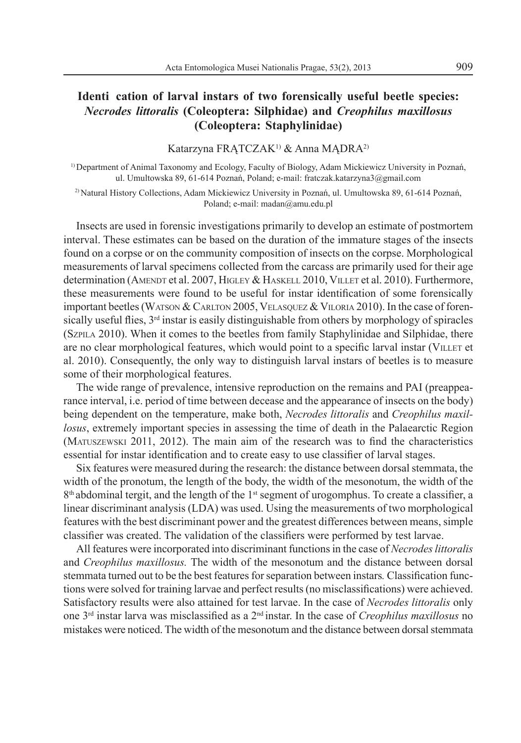# **Identi cation of larval instars of two forensically useful beetle species:**  *Necrodes littoralis* **(Coleoptera: Silphidae) and** *Creophilus maxillosus* **(Coleoptera: Staphylinidae)**

Katarzyna FRATCZAK<sup>1)</sup> & Anna MADRA<sup>2)</sup>

<sup>1)</sup> Department of Animal Taxonomy and Ecology, Faculty of Biology, Adam Mickiewicz University in Poznań, ul. Umultowska 89, 61-614 Poznań, Poland; e-mail: fratczak.katarzyna3@gmail.com

<sup>2)</sup> Natural History Collections, Adam Mickiewicz University in Poznań, ul. Umultowska 89, 61-614 Poznań, Poland; e-mail: madan@amu.edu.pl

Insects are used in forensic investigations primarily to develop an estimate of postmortem interval. These estimates can be based on the duration of the immature stages of the insects found on a corpse or on the community composition of insects on the corpse. Morphological measurements of larval specimens collected from the carcass are primarily used for their age determination (AMENDT et al. 2007, HIGLEY & HASKELL 2010, VILLET et al. 2010). Furthermore, these measurements were found to be useful for instar identification of some forensically important beetles (WATSON & CARLTON 2005, VELASQUEZ & VILORIA 2010). In the case of forensically useful flies,  $3<sup>rd</sup>$  instar is easily distinguishable from others by morphology of spiracles (SZPILA 2010). When it comes to the beetles from family Staphylinidae and Silphidae, there are no clear morphological features, which would point to a specific larval instar (VILLET et al. 2010). Consequently, the only way to distinguish larval instars of beetles is to measure some of their morphological features.

The wide range of prevalence, intensive reproduction on the remains and PAI (preappearance interval, i.e. period of time between decease and the appearance of insects on the body) being dependent on the temperature, make both, *Necrodes littoralis* and *Creophilus maxillosus*, extremely important species in assessing the time of death in the Palaearctic Region  $(MATUSZENSKI 2011, 2012)$ . The main aim of the research was to find the characteristics essential for instar identification and to create easy to use classifier of larval stages.

Six features were measured during the research: the distance between dorsal stemmata, the width of the pronotum, the length of the body, the width of the mesonotum, the width of the  $8<sup>th</sup>$  abdominal tergit, and the length of the 1<sup>st</sup> segment of urogomphus. To create a classifier, a linear discriminant analysis (LDA) was used. Using the measurements of two morphological features with the best discriminant power and the greatest differences between means, simple classifier was created. The validation of the classifiers were performed by test larvae.

All features were incorporated into discriminant functions in the case of *Necrodes littoralis* and *Creophilus maxillosus.* The width of the mesonotum and the distance between dorsal stemmata turned out to be the best features for separation between instars. Classification functions were solved for training larvae and perfect results (no misclassifications) were achieved. Satisfactory results were also attained for test larvae. In the case of *Necrodes littoralis* only one 3rd instar larva was misclassi ed as a 2nd instar. In the case of *Creophilus maxillosus* no mistakes were noticed. The width of the mesonotum and the distance between dorsal stemmata